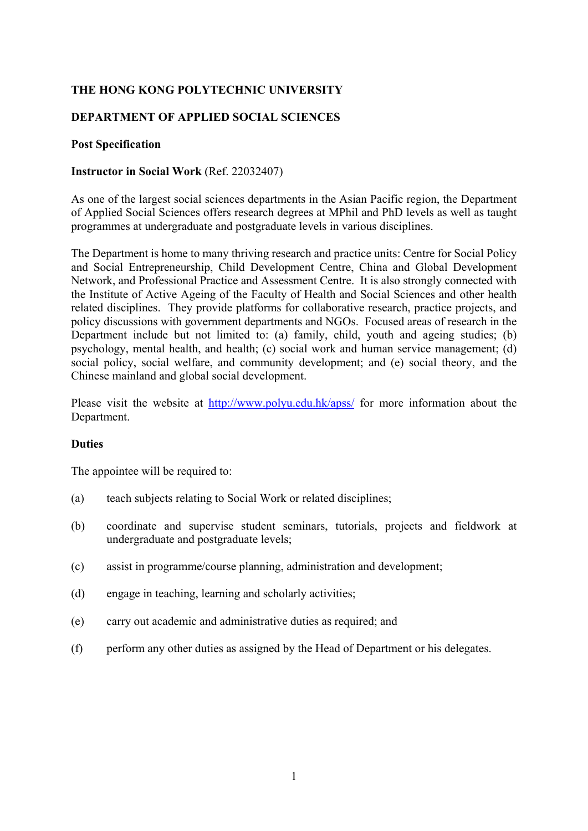# **THE HONG KONG POLYTECHNIC UNIVERSITY**

### **DEPARTMENT OF APPLIED SOCIAL SCIENCES**

### **Post Specification**

### **Instructor in Social Work** (Ref. 22032407)

As one of the largest social sciences departments in the Asian Pacific region, the Department of Applied Social Sciences offers research degrees at MPhil and PhD levels as well as taught programmes at undergraduate and postgraduate levels in various disciplines.

The Department is home to many thriving research and practice units: Centre for Social Policy and Social Entrepreneurship, Child Development Centre, China and Global Development Network, and Professional Practice and Assessment Centre. It is also strongly connected with the Institute of Active Ageing of the Faculty of Health and Social Sciences and other health related disciplines. They provide platforms for collaborative research, practice projects, and policy discussions with government departments and NGOs. Focused areas of research in the Department include but not limited to: (a) family, child, youth and ageing studies; (b) psychology, mental health, and health; (c) social work and human service management; (d) social policy, social welfare, and community development; and (e) social theory, and the Chinese mainland and global social development.

Please visit the website at http://www.polyu.edu.hk/apss/ for more information about the Department.

#### **Duties**

The appointee will be required to:

- (a) teach subjects relating to Social Work or related disciplines;
- (b) coordinate and supervise student seminars, tutorials, projects and fieldwork at undergraduate and postgraduate levels;
- (c) assist in programme/course planning, administration and development;
- (d) engage in teaching, learning and scholarly activities;
- (e) carry out academic and administrative duties as required; and
- (f) perform any other duties as assigned by the Head of Department or his delegates.